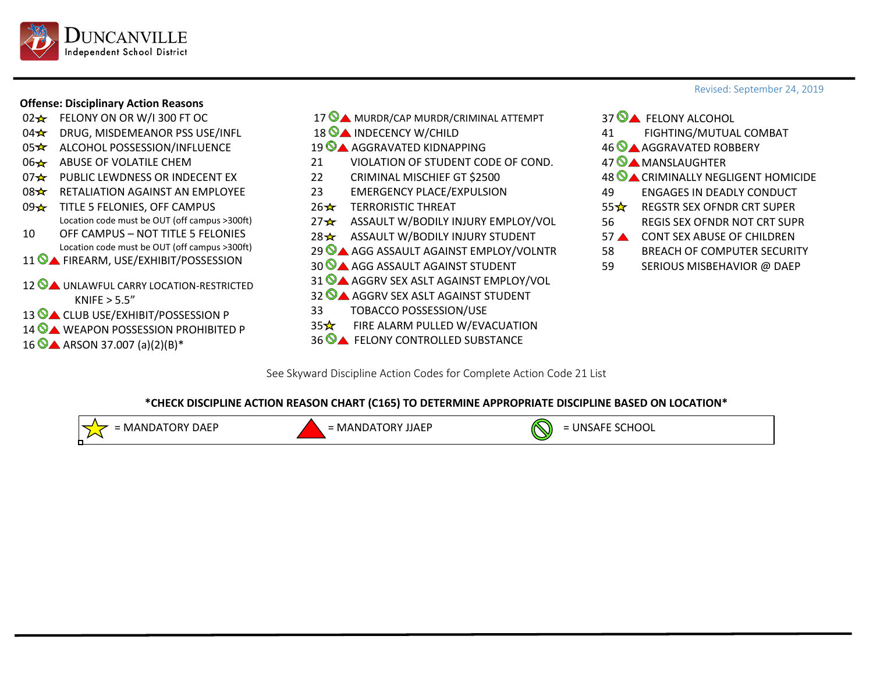

## **Offense: Disciplinary Action Reasons**

- $02 \times$  FELONY ON OR W/I 300 FT OC
- 04 **ORUG, MISDEMEANOR PSS USE/INFL**
- 05 ★ ALCOHOL POSSESSION/INFLUENCE
- 06 ABUSE OF VOLATILE CHEM
- 07 PUBLIC LEWDNESS OR INDECENT EX
- 08 <del>☆</del> RETALIATION AGAINST AN EMPLOYEE
- 09 x TITLE 5 FELONIES, OFF CAMPUS Location code must be OUT (off campus >300ft)
- 10 OFF CAMPUS NOT TITLE 5 FELONIES Location code must be OUT (off campus >300ft)
- 11 **O A** FIREARM, USE/EXHIBIT/POSSESSION
- 12 A UNLAWFUL CARRY LOCATION-RESTRICTED  $KN$ IFE  $> 5.5"$
- 13 **CLUB USE/EXHIBIT/POSSESSION P**
- 14 WEAPON POSSESSION PROHIBITED P
- $16$  ARSON 37.007 (a)(2)(B)\*
- 17 MURDR/CAP MURDR/CRIMINAL ATTEMPT
- 18 **A** INDECENCY W/CHILD
- 19 AGGRAVATED KIDNAPPING
- 21 VIOLATION OF STUDENT CODE OF COND.
- 22 CRIMINAL MISCHIEF GT \$2500
- 23 EMERGENCY PLACE/EXPULSION
- $26 \times$  TERRORISTIC THREAT
- 27 ★ ASSAULT W/BODILY INJURY EMPLOY/VOL
- 28 ASSAULT W/BODILY INJURY STUDENT
- 29 AGG ASSAULT AGAINST EMPLOY/VOLNTR
- 30 **CA** AGG ASSAULT AGAINST STUDENT
- 31 AGGRV SEX ASLT AGAINST EMPLOY/VOL
- 32 AGGRV SEX ASLT AGAINST STUDENT
- 33 TOBACCO POSSESSION/USE
- 35<del>☆</del> FIRE ALARM PULLED W/EVACUATION
- 36 A FELONY CONTROLLED SUBSTANCE
- 37  $\bullet$  FELONY ALCOHOL 41 FIGHTING/MUTUAL COMBAT 46 AGGRAVATED ROBBERY
- 47  $\bigcirc$  **MANSLAUGHTER**
- 48 **CRIMINALLY NEGLIGENT HOMICIDE**
- 49 ENGAGES IN DEADLY CONDUCT
- 55 <del>☆</del> REGSTR SEX OFNDR CRT SUPER
- 56 REGIS SEX OFNDR NOT CRT SUPR
- 57 CONT SEX ABUSE OF CHILDREN
- 58 BREACH OF COMPUTER SECURITY
- 59 SERIOUS MISBEHAVIOR @ DAEP

See Skyward Discipline Action Codes for Complete Action Code 21 List

## **\*CHECK DISCIPLINE ACTION REASON CHART (C165) TO DETERMINE APPROPRIATE DISCIPLINE BASED ON LOCATION\***



## Revised: September 24, 2019